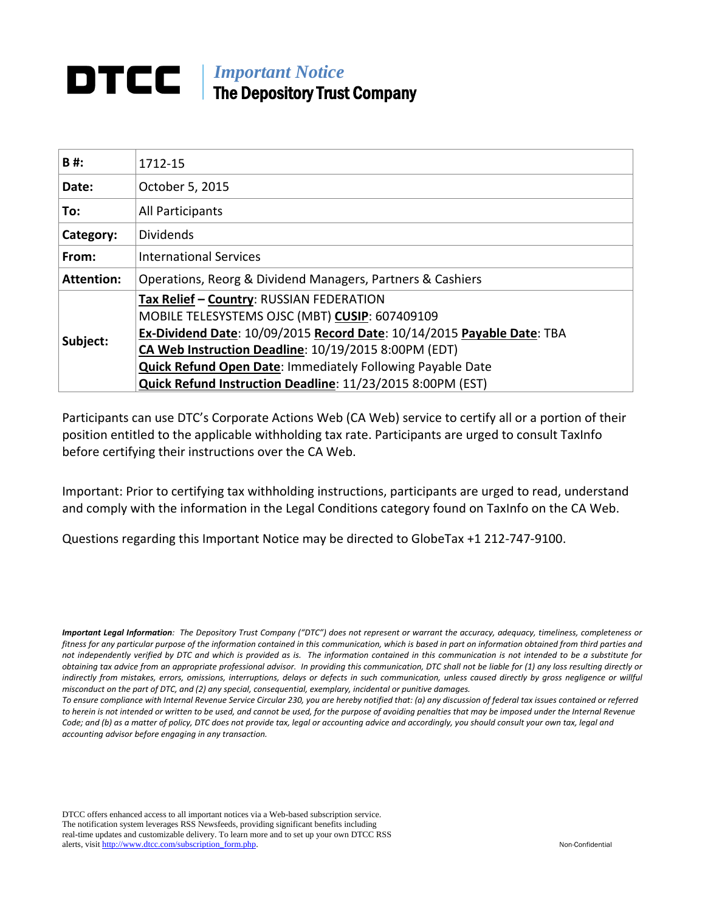### **IMPortant Notice** The Depository Trust Company

| 1712-15                                                                                                                                                                                                                                                                                                                                                         |
|-----------------------------------------------------------------------------------------------------------------------------------------------------------------------------------------------------------------------------------------------------------------------------------------------------------------------------------------------------------------|
| October 5, 2015                                                                                                                                                                                                                                                                                                                                                 |
| All Participants                                                                                                                                                                                                                                                                                                                                                |
| <b>Dividends</b>                                                                                                                                                                                                                                                                                                                                                |
| <b>International Services</b>                                                                                                                                                                                                                                                                                                                                   |
| Operations, Reorg & Dividend Managers, Partners & Cashiers                                                                                                                                                                                                                                                                                                      |
| Tax Relief - Country: RUSSIAN FEDERATION<br>MOBILE TELESYSTEMS OJSC (MBT) CUSIP: 607409109<br>Ex-Dividend Date: 10/09/2015 Record Date: 10/14/2015 Payable Date: TBA<br>CA Web Instruction Deadline: 10/19/2015 8:00PM (EDT)<br><b>Quick Refund Open Date: Immediately Following Payable Date</b><br>Quick Refund Instruction Deadline: 11/23/2015 8:00PM (EST) |
|                                                                                                                                                                                                                                                                                                                                                                 |

Participants can use DTC's Corporate Actions Web (CA Web) service to certify all or a portion of their position entitled to the applicable withholding tax rate. Participants are urged to consult TaxInfo before certifying their instructions over the CA Web.

Important: Prior to certifying tax withholding instructions, participants are urged to read, understand and comply with the information in the Legal Conditions category found on TaxInfo on the CA Web.

Questions regarding this Important Notice may be directed to GlobeTax +1 212-747-9100.

DTCC offers enhanced access to all important notices via a Web-based subscription service. The notification system leverages RSS Newsfeeds, providing significant benefits including real-time updates and customizable delivery. To learn more and to set up your own DTCC RSS alerts, visit [http://www.dtcc.com/subscription\\_form.php.](http://www.dtcc.com/subscription_form.php) Non-Confidential

*Important Legal Information: The Depository Trust Company ("DTC") does not represent or warrant the accuracy, adequacy, timeliness, completeness or fitness for any particular purpose of the information contained in this communication, which is based in part on information obtained from third parties and not independently verified by DTC and which is provided as is. The information contained in this communication is not intended to be a substitute for obtaining tax advice from an appropriate professional advisor. In providing this communication, DTC shall not be liable for (1) any loss resulting directly or*  indirectly from mistakes, errors, omissions, interruptions, delays or defects in such communication, unless caused directly by gross negligence or willful *misconduct on the part of DTC, and (2) any special, consequential, exemplary, incidental or punitive damages.*

*To ensure compliance with Internal Revenue Service Circular 230, you are hereby notified that: (a) any discussion of federal tax issues contained or referred*  to herein is not intended or written to be used, and cannot be used, for the purpose of avoiding penalties that may be imposed under the Internal Revenue *Code; and (b) as a matter of policy, DTC does not provide tax, legal or accounting advice and accordingly, you should consult your own tax, legal and accounting advisor before engaging in any transaction.*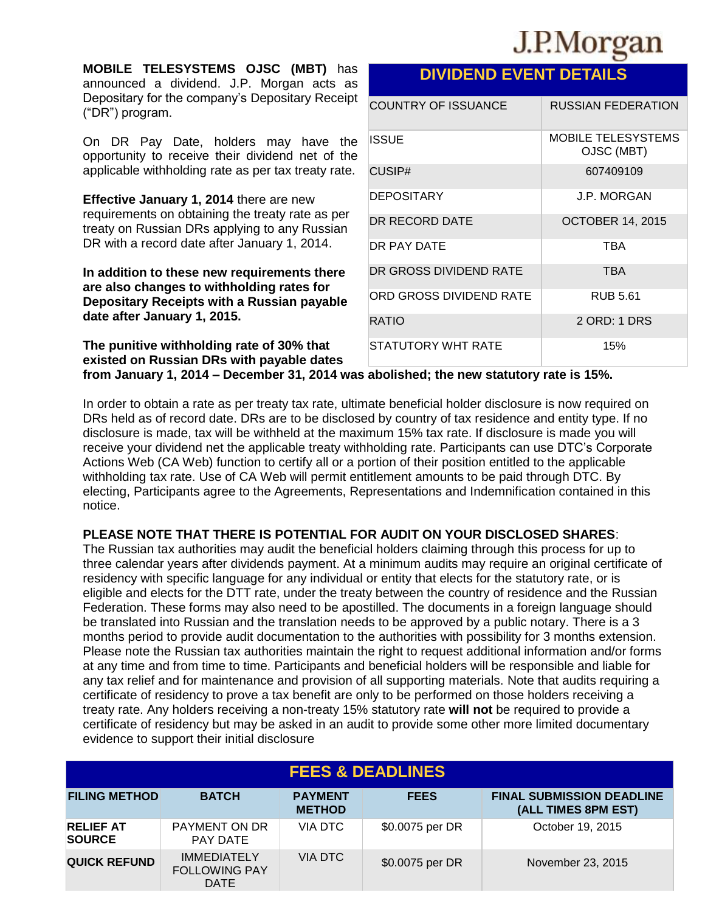# J.P.Morgan

**MOBILE TELESYSTEMS OJSC (MBT)** has announced a dividend. J.P. Morgan acts as Depositary for the company's Depositary Receipt ("DR") program.

On DR Pay Date, holders may have the opportunity to receive their dividend net of the applicable withholding rate as per tax treaty rate.

**Effective January 1, 2014** there are new requirements on obtaining the treaty rate as per treaty on Russian DRs applying to any Russian DR with a record date after January 1, 2014.

**In addition to these new requirements there are also changes to withholding rates for Depositary Receipts with a Russian payable date after January 1, 2015.** 

**The punitive withholding rate of 30% that existed on Russian DRs with payable dates from January 1, 2014 – December 31, 2014 was abolished; the new statutory rate is 15%.**

In order to obtain a rate as per treaty tax rate, ultimate beneficial holder disclosure is now required on DRs held as of record date. DRs are to be disclosed by country of tax residence and entity type. If no disclosure is made, tax will be withheld at the maximum 15% tax rate. If disclosure is made you will receive your dividend net the applicable treaty withholding rate. Participants can use DTC's Corporate Actions Web (CA Web) function to certify all or a portion of their position entitled to the applicable withholding tax rate. Use of CA Web will permit entitlement amounts to be paid through DTC. By electing, Participants agree to the Agreements, Representations and Indemnification contained in this notice.

### **PLEASE NOTE THAT THERE IS POTENTIAL FOR AUDIT ON YOUR DISCLOSED SHARES**:

The Russian tax authorities may audit the beneficial holders claiming through this process for up to three calendar years after dividends payment. At a minimum audits may require an original certificate of residency with specific language for any individual or entity that elects for the statutory rate, or is eligible and elects for the DTT rate, under the treaty between the country of residence and the Russian Federation. These forms may also need to be apostilled. The documents in a foreign language should be translated into Russian and the translation needs to be approved by a public notary. There is a 3 months period to provide audit documentation to the authorities with possibility for 3 months extension. Please note the Russian tax authorities maintain the right to request additional information and/or forms at any time and from time to time. Participants and beneficial holders will be responsible and liable for any tax relief and for maintenance and provision of all supporting materials. Note that audits requiring a certificate of residency to prove a tax benefit are only to be performed on those holders receiving a treaty rate. Any holders receiving a non-treaty 15% statutory rate **will not** be required to provide a certificate of residency but may be asked in an audit to provide some other more limited documentary evidence to support their initial disclosure

| <b>FEES &amp; DEADLINES</b>       |                                                           |                                 |                 |                                                         |  |  |  |
|-----------------------------------|-----------------------------------------------------------|---------------------------------|-----------------|---------------------------------------------------------|--|--|--|
| <b>FILING METHOD</b>              | <b>BATCH</b>                                              | <b>PAYMENT</b><br><b>METHOD</b> | <b>FEES</b>     | <b>FINAL SUBMISSION DEADLINE</b><br>(ALL TIMES 8PM EST) |  |  |  |
| <b>RELIEF AT</b><br><b>SOURCE</b> | PAYMENT ON DR<br>PAY DATE                                 | VIA DTC                         | \$0.0075 per DR | October 19, 2015                                        |  |  |  |
| <b>QUICK REFUND</b>               | <b>IMMEDIATELY</b><br><b>FOLLOWING PAY</b><br><b>DATE</b> | VIA DTC                         | \$0.0075 per DR | November 23, 2015                                       |  |  |  |

### **DIVIDEND EVENT DETAILS**

| <b>COUNTRY OF ISSUANCE</b> | <b>RUSSIAN FEDERATION</b>               |
|----------------------------|-----------------------------------------|
| ISSUE                      | <b>MOBILE TELESYSTEMS</b><br>OJSC (MBT) |
| CUSIP#                     | 607409109                               |
| <b>DEPOSITARY</b>          | J.P. MORGAN                             |
| DR RECORD DATE             | <b>OCTOBER 14, 2015</b>                 |
| DR PAY DATE                | TBA                                     |
| DR GROSS DIVIDEND RATE     | <b>TBA</b>                              |
| ORD GROSS DIVIDEND RATE    | <b>RUB 5.61</b>                         |
| RATIO                      | 2 ORD: 1 DRS                            |
| STATUTORY WHT RATE         | 15%                                     |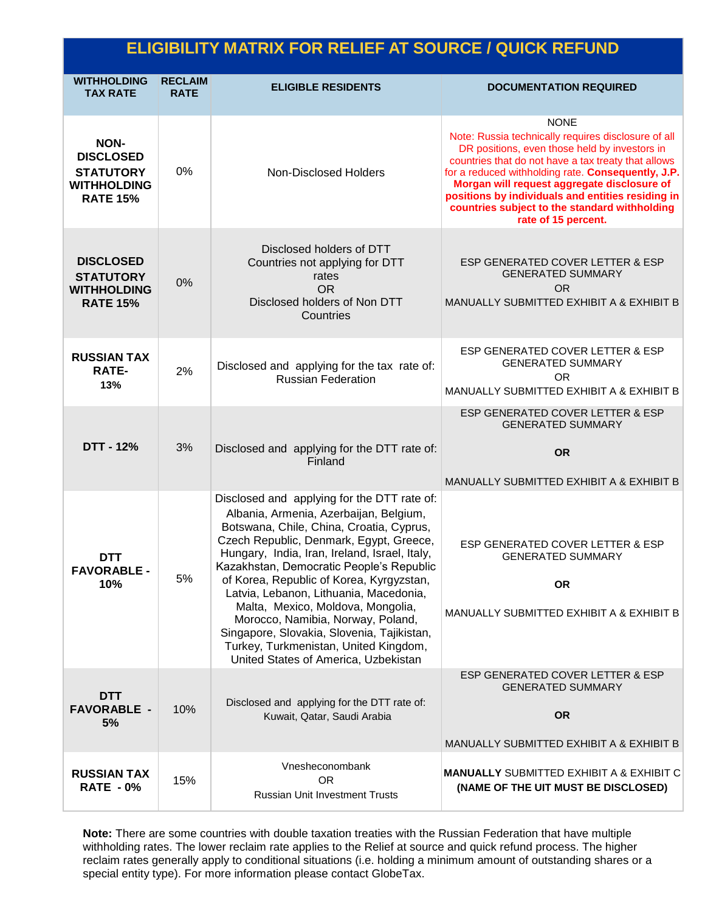| <b>ELIGIBILITY MATRIX FOR RELIEF AT SOURCE / QUICK REFUND</b>                                |                               |                                                                                                                                                                                                                                                                                                                                                                                                                                                                                                                                                                          |                                                                                                                                                                                                                                                                                                                                                                                                              |  |  |
|----------------------------------------------------------------------------------------------|-------------------------------|--------------------------------------------------------------------------------------------------------------------------------------------------------------------------------------------------------------------------------------------------------------------------------------------------------------------------------------------------------------------------------------------------------------------------------------------------------------------------------------------------------------------------------------------------------------------------|--------------------------------------------------------------------------------------------------------------------------------------------------------------------------------------------------------------------------------------------------------------------------------------------------------------------------------------------------------------------------------------------------------------|--|--|
| <b>WITHHOLDING</b><br><b>TAX RATE</b>                                                        | <b>RECLAIM</b><br><b>RATE</b> | <b>ELIGIBLE RESIDENTS</b>                                                                                                                                                                                                                                                                                                                                                                                                                                                                                                                                                | <b>DOCUMENTATION REQUIRED</b>                                                                                                                                                                                                                                                                                                                                                                                |  |  |
| <b>NON-</b><br><b>DISCLOSED</b><br><b>STATUTORY</b><br><b>WITHHOLDING</b><br><b>RATE 15%</b> | $0\%$                         | <b>Non-Disclosed Holders</b>                                                                                                                                                                                                                                                                                                                                                                                                                                                                                                                                             | <b>NONE</b><br>Note: Russia technically requires disclosure of all<br>DR positions, even those held by investors in<br>countries that do not have a tax treaty that allows<br>for a reduced withholding rate. Consequently, J.P.<br>Morgan will request aggregate disclosure of<br>positions by individuals and entities residing in<br>countries subject to the standard withholding<br>rate of 15 percent. |  |  |
| <b>DISCLOSED</b><br><b>STATUTORY</b><br><b>WITHHOLDING</b><br><b>RATE 15%</b>                | 0%                            | Disclosed holders of DTT<br>Countries not applying for DTT<br>rates<br><b>OR</b><br>Disclosed holders of Non DTT<br>Countries                                                                                                                                                                                                                                                                                                                                                                                                                                            | ESP GENERATED COVER LETTER & ESP<br><b>GENERATED SUMMARY</b><br><b>OR</b><br>MANUALLY SUBMITTED EXHIBIT A & EXHIBIT B                                                                                                                                                                                                                                                                                        |  |  |
| <b>RUSSIAN TAX</b><br><b>RATE-</b><br>13%                                                    | 2%                            | Disclosed and applying for the tax rate of:<br><b>Russian Federation</b>                                                                                                                                                                                                                                                                                                                                                                                                                                                                                                 | ESP GENERATED COVER LETTER & ESP<br><b>GENERATED SUMMARY</b><br>OR.<br>MANUALLY SUBMITTED EXHIBIT A & EXHIBIT B                                                                                                                                                                                                                                                                                              |  |  |
| <b>DTT - 12%</b>                                                                             | 3%                            | Disclosed and applying for the DTT rate of:<br>Finland                                                                                                                                                                                                                                                                                                                                                                                                                                                                                                                   | ESP GENERATED COVER LETTER & ESP<br><b>GENERATED SUMMARY</b><br><b>OR</b><br>MANUALLY SUBMITTED EXHIBIT A & EXHIBIT B                                                                                                                                                                                                                                                                                        |  |  |
| <b>DTT</b><br><b>FAVORABLE -</b><br>10%                                                      | 5%                            | Disclosed and applying for the DTT rate of:<br>Albania, Armenia, Azerbaijan, Belgium,<br>Botswana, Chile, China, Croatia, Cyprus,<br>Czech Republic, Denmark, Egypt, Greece,<br>Hungary, India, Iran, Ireland, Israel, Italy,<br>Kazakhstan, Democratic People's Republic<br>of Korea, Republic of Korea, Kyrgyzstan,<br>Latvia, Lebanon, Lithuania, Macedonia,<br>Malta, Mexico, Moldova, Mongolia,<br>Morocco, Namibia, Norway, Poland,<br>Singapore, Slovakia, Slovenia, Tajikistan,<br>Turkey, Turkmenistan, United Kingdom,<br>United States of America, Uzbekistan | ESP GENERATED COVER LETTER & ESP<br>GENERATED SUMMARY<br><b>OR</b><br>MANUALLY SUBMITTED EXHIBIT A & EXHIBIT B                                                                                                                                                                                                                                                                                               |  |  |
| <b>DTT</b><br><b>FAVORABLE -</b><br>5%                                                       | 10%                           | Disclosed and applying for the DTT rate of:<br>Kuwait, Qatar, Saudi Arabia                                                                                                                                                                                                                                                                                                                                                                                                                                                                                               | ESP GENERATED COVER LETTER & ESP<br><b>GENERATED SUMMARY</b><br><b>OR</b>                                                                                                                                                                                                                                                                                                                                    |  |  |
| <b>RUSSIAN TAX</b><br><b>RATE - 0%</b>                                                       | 15%                           | Vnesheconombank<br><b>OR</b><br><b>Russian Unit Investment Trusts</b>                                                                                                                                                                                                                                                                                                                                                                                                                                                                                                    | MANUALLY SUBMITTED EXHIBIT A & EXHIBIT B<br><b>MANUALLY SUBMITTED EXHIBIT A &amp; EXHIBIT C</b><br>(NAME OF THE UIT MUST BE DISCLOSED)                                                                                                                                                                                                                                                                       |  |  |

**Note:** There are some countries with double taxation treaties with the Russian Federation that have multiple withholding rates. The lower reclaim rate applies to the Relief at source and quick refund process. The higher reclaim rates generally apply to conditional situations (i.e. holding a minimum amount of outstanding shares or a special entity type). For more information please contact GlobeTax.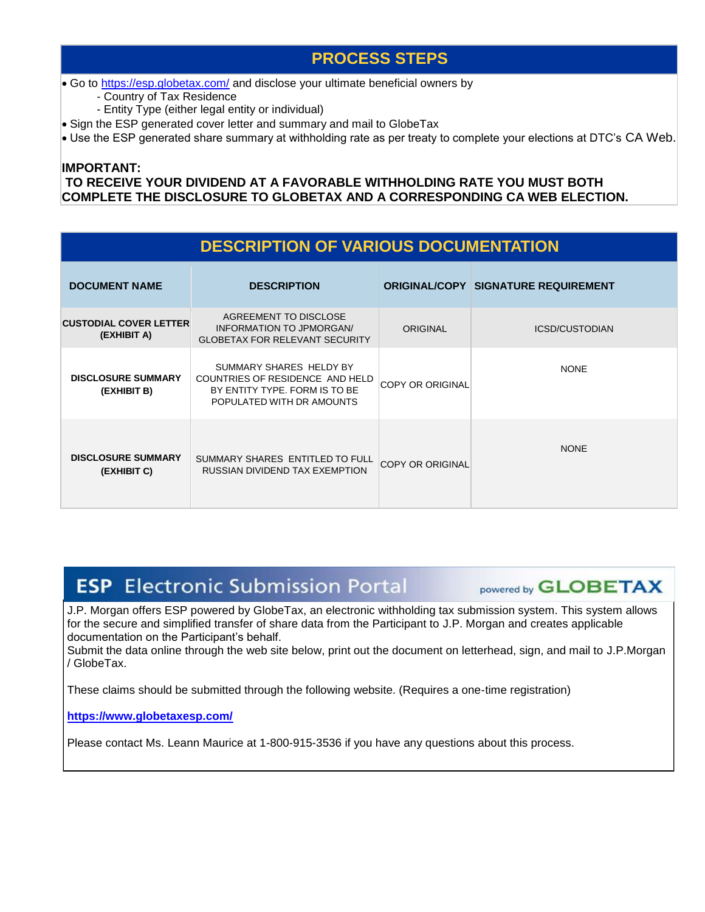### **PROCESS STEPS**

• Go to<https://esp.globetax.com/> and disclose your ultimate beneficial owners by

- Country of Tax Residence

- Entity Type (either legal entity or individual)

Sign the ESP generated cover letter and summary and mail to GlobeTax

Use the ESP generated share summary at withholding rate as per treaty to complete your elections at DTC's CA Web.

#### **IMPORTANT: TO RECEIVE YOUR DIVIDEND AT A FAVORABLE WITHHOLDING RATE YOU MUST BOTH COMPLETE THE DISCLOSURE TO GLOBETAX AND A CORRESPONDING CA WEB ELECTION.**

| <b>DESCRIPTION OF VARIOUS DOCUMENTATION</b>  |                                                                                                                          |                         |                                            |  |  |  |
|----------------------------------------------|--------------------------------------------------------------------------------------------------------------------------|-------------------------|--------------------------------------------|--|--|--|
| <b>DOCUMENT NAME</b>                         | <b>DESCRIPTION</b>                                                                                                       |                         | <b>ORIGINAL/COPY SIGNATURE REQUIREMENT</b> |  |  |  |
| <b>CUSTODIAL COVER LETTER</b><br>(EXHIBIT A) | AGREEMENT TO DISCLOSE<br>INFORMATION TO JPMORGAN/<br><b>GLOBETAX FOR RELEVANT SECURITY</b>                               | <b>ORIGINAL</b>         | <b>ICSD/CUSTODIAN</b>                      |  |  |  |
| <b>DISCLOSURE SUMMARY</b><br>(EXHIBIT B)     | SUMMARY SHARES HELDY BY<br>COUNTRIES OF RESIDENCE AND HELD<br>BY ENTITY TYPE. FORM IS TO BE<br>POPULATED WITH DR AMOUNTS | <b>COPY OR ORIGINAL</b> | <b>NONE</b>                                |  |  |  |
| <b>DISCLOSURE SUMMARY</b><br>(EXHIBIT C)     | SUMMARY SHARES ENTITLED TO FULL<br>RUSSIAN DIVIDEND TAX EXEMPTION                                                        | <b>COPY OR ORIGINAL</b> | <b>NONE</b>                                |  |  |  |

# **ESP** Electronic Submission Portal

powered by **GLOBETAX** 

J.P. Morgan offers ESP powered by GlobeTax, an electronic withholding tax submission system. This system allows for the secure and simplified transfer of share data from the Participant to J.P. Morgan and creates applicable documentation on the Participant's behalf.

Submit the data online through the web site below, print out the document on letterhead, sign, and mail to J.P.Morgan / GlobeTax.

These claims should be submitted through the following website. (Requires a one-time registration)

**[https://www.globetaxesp.com/](https://esp.globetax.com/)**

Please contact Ms. Leann Maurice at 1-800-915-3536 if you have any questions about this process.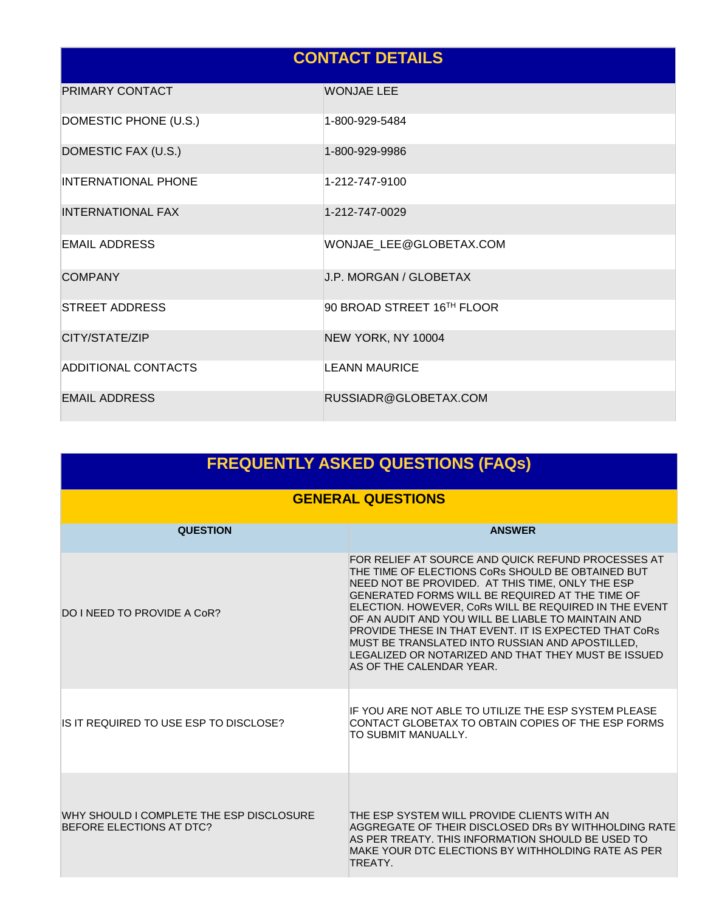## **CONTACT DETAILS**

| PRIMARY CONTACT            | <b>WONJAE LEE</b>          |
|----------------------------|----------------------------|
| DOMESTIC PHONE (U.S.)      | 1-800-929-5484             |
| DOMESTIC FAX (U.S.)        | 1-800-929-9986             |
| <b>INTERNATIONAL PHONE</b> | 1-212-747-9100             |
| <b>INTERNATIONAL FAX</b>   | 1-212-747-0029             |
| <b>EMAIL ADDRESS</b>       | WONJAE_LEE@GLOBETAX.COM    |
| <b>COMPANY</b>             | J.P. MORGAN / GLOBETAX     |
| <b>STREET ADDRESS</b>      | 90 BROAD STREET 16TH FLOOR |
| CITY/STATE/ZIP             | NEW YORK, NY 10004         |
| <b>ADDITIONAL CONTACTS</b> | <b>LEANN MAURICE</b>       |
| <b>EMAIL ADDRESS</b>       | RUSSIADR@GLOBETAX.COM      |

| <b>FREQUENTLY ASKED QUESTIONS (FAQs)</b>                             |                                                                                                                                                                                                                                                                                                                                                                                                                                                                                                                                     |  |  |  |
|----------------------------------------------------------------------|-------------------------------------------------------------------------------------------------------------------------------------------------------------------------------------------------------------------------------------------------------------------------------------------------------------------------------------------------------------------------------------------------------------------------------------------------------------------------------------------------------------------------------------|--|--|--|
|                                                                      | <b>GENERAL QUESTIONS</b>                                                                                                                                                                                                                                                                                                                                                                                                                                                                                                            |  |  |  |
| <b>QUESTION</b>                                                      | <b>ANSWER</b>                                                                                                                                                                                                                                                                                                                                                                                                                                                                                                                       |  |  |  |
| <b>DO I NEED TO PROVIDE A CoR?</b>                                   | FOR RELIEF AT SOURCE AND QUICK REFUND PROCESSES AT<br>THE TIME OF ELECTIONS CoRs SHOULD BE OBTAINED BUT<br>NEED NOT BE PROVIDED. AT THIS TIME, ONLY THE ESP<br>GENERATED FORMS WILL BE REQUIRED AT THE TIME OF<br>ELECTION. HOWEVER, CoRs WILL BE REQUIRED IN THE EVENT<br>OF AN AUDIT AND YOU WILL BE LIABLE TO MAINTAIN AND<br><b>PROVIDE THESE IN THAT EVENT. IT IS EXPECTED THAT CORS</b><br>MUST BE TRANSLATED INTO RUSSIAN AND APOSTILLED,<br>LEGALIZED OR NOTARIZED AND THAT THEY MUST BE ISSUED<br>AS OF THE CALENDAR YEAR. |  |  |  |
| IS IT REQUIRED TO USE ESP TO DISCLOSE?                               | IF YOU ARE NOT ABLE TO UTILIZE THE ESP SYSTEM PLEASE<br>CONTACT GLOBETAX TO OBTAIN COPIES OF THE ESP FORMS<br>TO SUBMIT MANUALLY.                                                                                                                                                                                                                                                                                                                                                                                                   |  |  |  |
| WHY SHOULD I COMPLETE THE ESP DISCLOSURE<br>BEFORE ELECTIONS AT DTC? | THE ESP SYSTEM WILL PROVIDE CLIENTS WITH AN<br>AGGREGATE OF THEIR DISCLOSED DRs BY WITHHOLDING RATE<br>AS PER TREATY. THIS INFORMATION SHOULD BE USED TO<br>MAKE YOUR DTC ELECTIONS BY WITHHOLDING RATE AS PER<br>TREATY.                                                                                                                                                                                                                                                                                                           |  |  |  |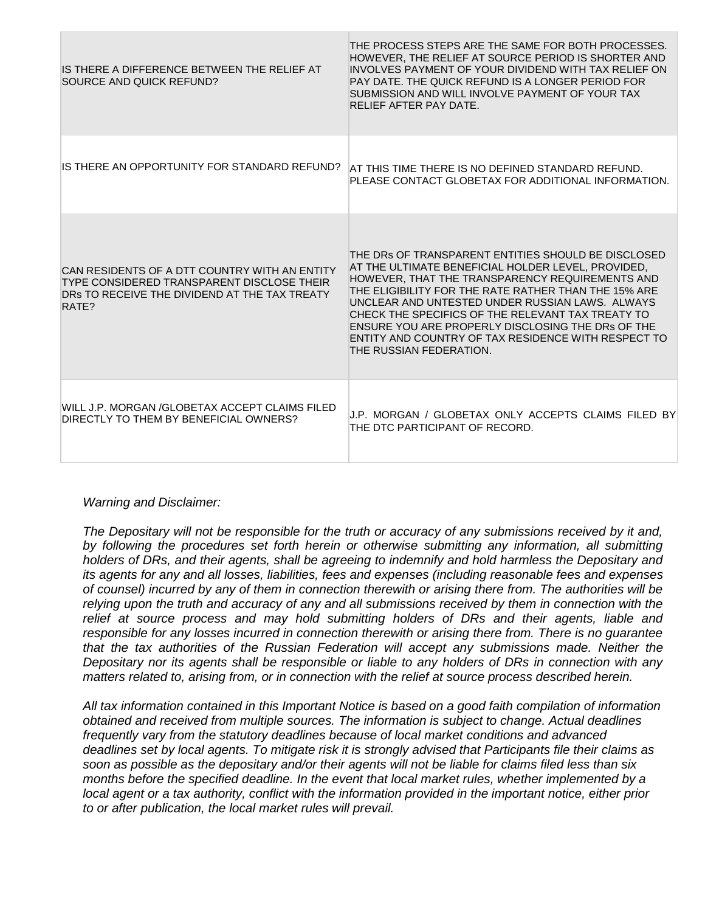| IS THERE A DIFFERENCE BETWEEN THE RELIEF AT<br>SOURCE AND QUICK REFUND?                                                                               | THE PROCESS STEPS ARE THE SAME FOR BOTH PROCESSES.<br>HOWEVER, THE RELIEF AT SOURCE PERIOD IS SHORTER AND<br>INVOLVES PAYMENT OF YOUR DIVIDEND WITH TAX RELIEF ON<br>PAY DATE. THE QUICK REFUND IS A LONGER PERIOD FOR<br>SUBMISSION AND WILL INVOLVE PAYMENT OF YOUR TAX<br>RELIEF AFTER PAY DATE.                                                                                                                                                                 |
|-------------------------------------------------------------------------------------------------------------------------------------------------------|---------------------------------------------------------------------------------------------------------------------------------------------------------------------------------------------------------------------------------------------------------------------------------------------------------------------------------------------------------------------------------------------------------------------------------------------------------------------|
| IS THERE AN OPPORTUNITY FOR STANDARD REFUND?                                                                                                          | AT THIS TIME THERE IS NO DEFINED STANDARD REFUND.<br>PLEASE CONTACT GLOBETAX FOR ADDITIONAL INFORMATION.                                                                                                                                                                                                                                                                                                                                                            |
| CAN RESIDENTS OF A DTT COUNTRY WITH AN ENTITY<br>TYPE CONSIDERED TRANSPARENT DISCLOSE THEIR<br>DRS TO RECEIVE THE DIVIDEND AT THE TAX TREATY<br>RATE? | THE DRS OF TRANSPARENT ENTITIES SHOULD BE DISCLOSED<br>AT THE ULTIMATE BENEFICIAL HOLDER LEVEL, PROVIDED.<br>HOWEVER, THAT THE TRANSPARENCY REQUIREMENTS AND<br>THE ELIGIBILITY FOR THE RATE RATHER THAN THE 15% ARE<br>UNCLEAR AND UNTESTED UNDER RUSSIAN LAWS. ALWAYS<br>CHECK THE SPECIFICS OF THE RELEVANT TAX TREATY TO<br>ENSURE YOU ARE PROPERLY DISCLOSING THE DRs OF THE<br>ENTITY AND COUNTRY OF TAX RESIDENCE WITH RESPECT TO<br>THE RUSSIAN FEDERATION. |
| WILL J.P. MORGAN /GLOBETAX ACCEPT CLAIMS FILED<br>DIRECTLY TO THEM BY BENEFICIAL OWNERS?                                                              | J.P. MORGAN / GLOBETAX ONLY ACCEPTS CLAIMS FILED BY<br>THE DTC PARTICIPANT OF RECORD.                                                                                                                                                                                                                                                                                                                                                                               |

#### *Warning and Disclaimer:*

*The Depositary will not be responsible for the truth or accuracy of any submissions received by it and, by following the procedures set forth herein or otherwise submitting any information, all submitting holders of DRs, and their agents, shall be agreeing to indemnify and hold harmless the Depositary and its agents for any and all losses, liabilities, fees and expenses (including reasonable fees and expenses of counsel) incurred by any of them in connection therewith or arising there from. The authorities will be relying upon the truth and accuracy of any and all submissions received by them in connection with the relief at source process and may hold submitting holders of DRs and their agents, liable and responsible for any losses incurred in connection therewith or arising there from. There is no guarantee that the tax authorities of the Russian Federation will accept any submissions made. Neither the Depositary nor its agents shall be responsible or liable to any holders of DRs in connection with any matters related to, arising from, or in connection with the relief at source process described herein.*

*All tax information contained in this Important Notice is based on a good faith compilation of information obtained and received from multiple sources. The information is subject to change. Actual deadlines frequently vary from the statutory deadlines because of local market conditions and advanced deadlines set by local agents. To mitigate risk it is strongly advised that Participants file their claims as soon as possible as the depositary and/or their agents will not be liable for claims filed less than six months before the specified deadline. In the event that local market rules, whether implemented by a local agent or a tax authority, conflict with the information provided in the important notice, either prior to or after publication, the local market rules will prevail.*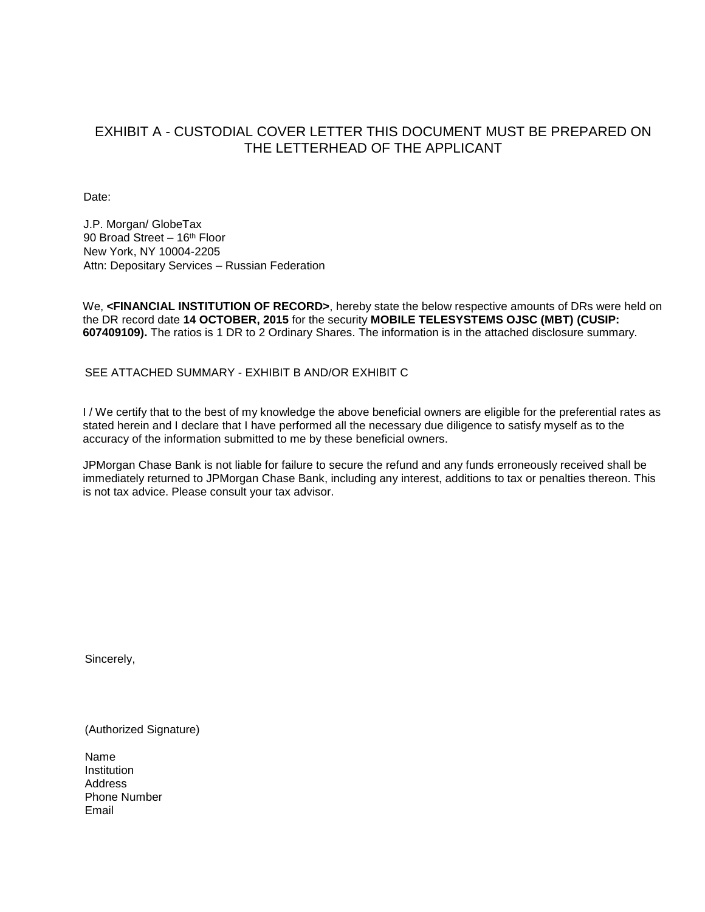### EXHIBIT A - CUSTODIAL COVER LETTER THIS DOCUMENT MUST BE PREPARED ON THE LETTERHEAD OF THE APPLICANT

Date:

J.P. Morgan/ GlobeTax 90 Broad Street - 16<sup>th</sup> Floor New York, NY 10004-2205 Attn: Depositary Services – Russian Federation

We, **<FINANCIAL INSTITUTION OF RECORD>**, hereby state the below respective amounts of DRs were held on the DR record date **14 OCTOBER, 2015** for the security **MOBILE TELESYSTEMS OJSC (MBT) (CUSIP: 607409109).** The ratios is 1 DR to 2 Ordinary Shares. The information is in the attached disclosure summary.

SEE ATTACHED SUMMARY - EXHIBIT B AND/OR EXHIBIT C

I / We certify that to the best of my knowledge the above beneficial owners are eligible for the preferential rates as stated herein and I declare that I have performed all the necessary due diligence to satisfy myself as to the accuracy of the information submitted to me by these beneficial owners.

JPMorgan Chase Bank is not liable for failure to secure the refund and any funds erroneously received shall be immediately returned to JPMorgan Chase Bank, including any interest, additions to tax or penalties thereon. This is not tax advice. Please consult your tax advisor.

Sincerely,

(Authorized Signature)

Name **Institution** Address Phone Number Email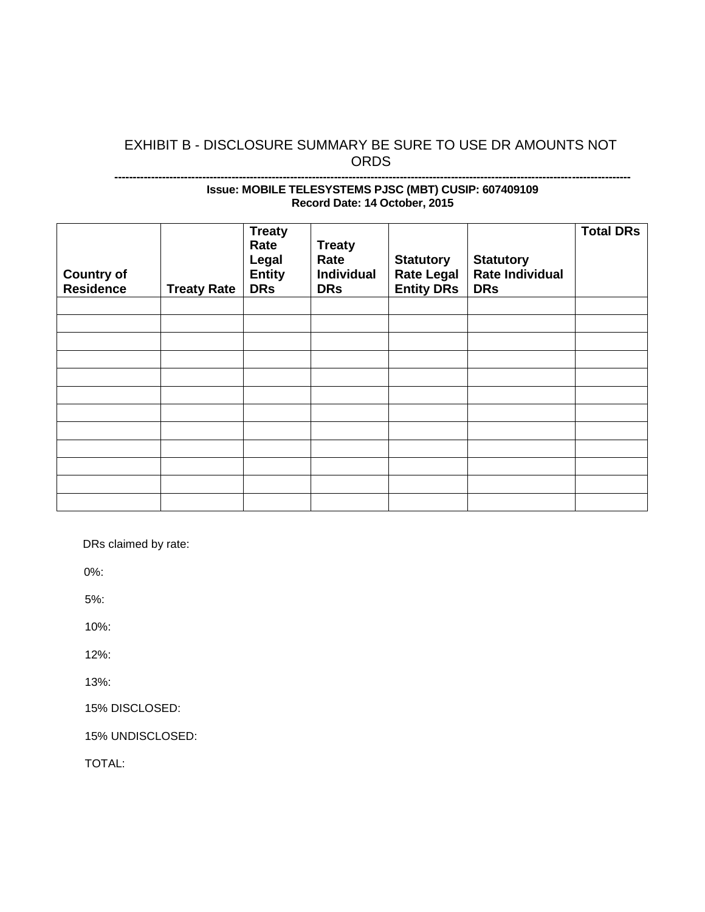### EXHIBIT B - DISCLOSURE SUMMARY BE SURE TO USE DR AMOUNTS NOT ORDS

#### **--------------------------------------------------------------------------------------------------------------------------------------------- Issue: MOBILE TELESYSTEMS PJSC (MBT) CUSIP: 607409109 Record Date: 14 October, 2015**

| <b>Country of</b><br><b>Residence</b> | <b>Treaty Rate</b> | <b>Treaty</b><br>Rate<br>Legal<br><b>Entity</b><br><b>DRs</b> | <b>Treaty</b><br>Rate<br>Individual<br><b>DRs</b> | <b>Statutory</b><br><b>Rate Legal</b><br><b>Entity DRs</b> | <b>Statutory</b><br><b>Rate Individual</b><br><b>DRs</b> | <b>Total DRs</b> |
|---------------------------------------|--------------------|---------------------------------------------------------------|---------------------------------------------------|------------------------------------------------------------|----------------------------------------------------------|------------------|
|                                       |                    |                                                               |                                                   |                                                            |                                                          |                  |
|                                       |                    |                                                               |                                                   |                                                            |                                                          |                  |
|                                       |                    |                                                               |                                                   |                                                            |                                                          |                  |
|                                       |                    |                                                               |                                                   |                                                            |                                                          |                  |
|                                       |                    |                                                               |                                                   |                                                            |                                                          |                  |
|                                       |                    |                                                               |                                                   |                                                            |                                                          |                  |
|                                       |                    |                                                               |                                                   |                                                            |                                                          |                  |
|                                       |                    |                                                               |                                                   |                                                            |                                                          |                  |
|                                       |                    |                                                               |                                                   |                                                            |                                                          |                  |
|                                       |                    |                                                               |                                                   |                                                            |                                                          |                  |
|                                       |                    |                                                               |                                                   |                                                            |                                                          |                  |
|                                       |                    |                                                               |                                                   |                                                            |                                                          |                  |

DRs claimed by rate:

0%:

5%:

10%:

12%:

13%:

15% DISCLOSED:

15% UNDISCLOSED:

TOTAL: